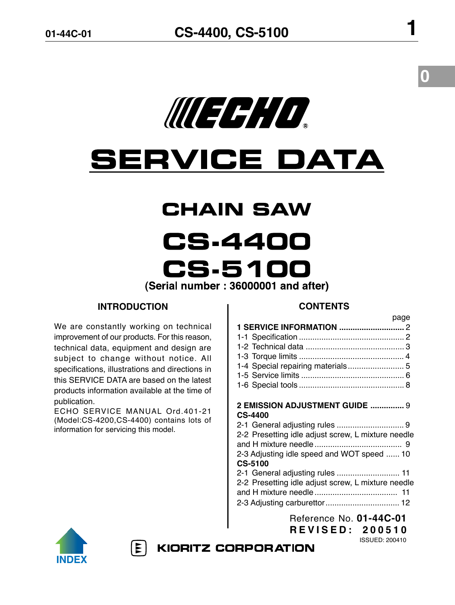

# **SERVICE DATA**

# **CHAIN SAW**

**CS.4400 CS.5100** 

(Serial number: 36000001 and after)

# **INTRODUCTION**

We are constantly working on technical improvement of our products. For this reason, technical data, equipment and design are subject to change without notice. All specifications, illustrations and directions in this SERVICE DATA are based on the latest products information available at the time of publication.

ECHO SERVICE MANUAL Ord.401-21 (Model:CS-4200,CS-4400) contains lots of information for servicing this model.

# **CONTENTS**

|                                                    | page |
|----------------------------------------------------|------|
|                                                    |      |
|                                                    |      |
|                                                    |      |
|                                                    |      |
| 1-4 Special repairing materials 5                  |      |
|                                                    |      |
|                                                    |      |
|                                                    |      |
| 2 EMISSION ADJUSTMENT GUIDE  9                     |      |
| <b>CS-4400</b>                                     |      |
|                                                    |      |
| 2-2 Presetting idle adjust screw, L mixture needle |      |
|                                                    |      |
| 2-3 Adjusting idle speed and WOT speed  10         |      |
| <b>CS-5100</b>                                     |      |
|                                                    |      |
| 2-2 Presetting idle adjust screw, L mixture needle |      |
|                                                    |      |
|                                                    |      |
| Reference No. 01-44C-01                            |      |

**R E V I S E D : 2 0 0 5 1 0**

ISSUED: 200410



 $|\mathbf{r}|$ 

**KIORITZ CORPORATION**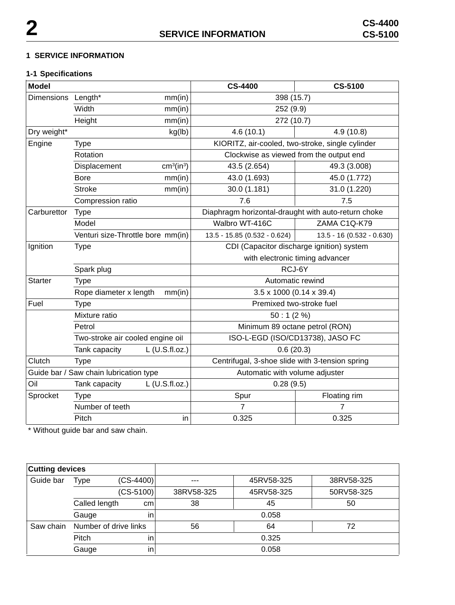# **1 SERVICE INFORMATION**

# **1-1 Specifications**

| <b>Model</b>                           |                                   |                                    | <b>CS-4400</b>                                      | <b>CS-5100</b>            |  |
|----------------------------------------|-----------------------------------|------------------------------------|-----------------------------------------------------|---------------------------|--|
| <b>Dimensions</b>                      | Length*                           | mm(in)                             | 398 (15.7)                                          |                           |  |
|                                        | Width<br>mm(in)                   |                                    | 252 (9.9)                                           |                           |  |
|                                        | Height                            | mm(in)                             | 272 (10.7)                                          |                           |  |
| Dry weight*                            |                                   | kg(lb)                             | 4.6(10.1)                                           | 4.9 (10.8)                |  |
| Engine                                 | <b>Type</b>                       |                                    | KIORITZ, air-cooled, two-stroke, single cylinder    |                           |  |
|                                        | Rotation                          |                                    | Clockwise as viewed from the output end             |                           |  |
|                                        | Displacement                      | cm <sup>3</sup> (in <sup>3</sup> ) | 43.5 (2.654)                                        | 49.3 (3.008)              |  |
|                                        | <b>Bore</b>                       | mm(in)                             | 43.0 (1.693)                                        | 45.0 (1.772)              |  |
|                                        | <b>Stroke</b>                     | mm(in)                             | 30.0 (1.181)                                        | 31.0 (1.220)              |  |
|                                        | Compression ratio                 |                                    | 7.6                                                 | 7.5                       |  |
| Carburettor                            | <b>Type</b>                       |                                    | Diaphragm horizontal-draught with auto-return choke |                           |  |
|                                        | Model                             |                                    | Walbro WT-416C                                      | ZAMA C1Q-K79              |  |
|                                        | Venturi size-Throttle bore mm(in) |                                    | 13.5 - 15.85 (0.532 - 0.624)                        | 13.5 - 16 (0.532 - 0.630) |  |
| Ignition                               | <b>Type</b>                       |                                    | CDI (Capacitor discharge ignition) system           |                           |  |
|                                        |                                   |                                    | with electronic timing advancer                     |                           |  |
|                                        | Spark plug                        |                                    | RCJ-6Y                                              |                           |  |
| <b>Starter</b><br><b>Type</b>          |                                   | Automatic rewind                   |                                                     |                           |  |
|                                        | Rope diameter x length            | mm(in)                             | $3.5 \times 1000$ (0.14 x 39.4)                     |                           |  |
| Fuel                                   | <b>Type</b>                       |                                    | Premixed two-stroke fuel                            |                           |  |
|                                        | Mixture ratio                     |                                    | 50:1(2%)                                            |                           |  |
|                                        | Petrol                            |                                    | Minimum 89 octane petrol (RON)                      |                           |  |
|                                        | Two-stroke air cooled engine oil  |                                    | ISO-L-EGD (ISO/CD13738), JASO FC                    |                           |  |
|                                        | Tank capacity                     | L (U.S.fl.oz.)                     | 0.6(20.3)                                           |                           |  |
| Clutch                                 | <b>Type</b>                       |                                    | Centrifugal, 3-shoe slide with 3-tension spring     |                           |  |
| Guide bar / Saw chain lubrication type |                                   |                                    | Automatic with volume adjuster                      |                           |  |
| Oil                                    | L (U.S.fl.oz.)<br>Tank capacity   |                                    | 0.28(9.5)                                           |                           |  |
| Sprocket                               | <b>Type</b>                       |                                    | Spur                                                | Floating rim              |  |
|                                        | Number of teeth                   |                                    | 7                                                   | 7                         |  |
|                                        | Pitch                             | in                                 | 0.325                                               | 0.325                     |  |

\* Without guide bar and saw chain.

| <b>Cutting devices</b> |                       |             |            |            |            |
|------------------------|-----------------------|-------------|------------|------------|------------|
| Guide bar              | $(CS-4400)$<br>Type   |             | $- - -$    | 45RV58-325 | 38RV58-325 |
|                        |                       | $(CS-5100)$ | 38RV58-325 | 45RV58-325 | 50RV58-325 |
|                        | Called length         | cm          | 38         | 45         | 50         |
|                        | Gauge                 | in          |            | 0.058      |            |
| Saw chain              | Number of drive links |             | 56         | 64         | 72         |
|                        | Pitch                 | in          |            | 0.325      |            |
|                        | Gauge                 | in          |            | 0.058      |            |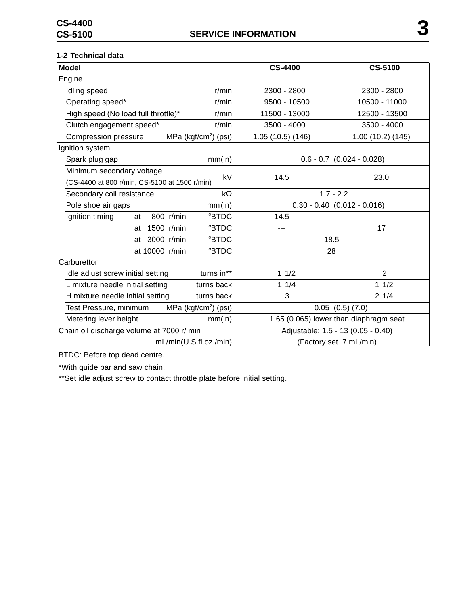# **1-2 Technical data**

| <b>Model</b>                                               |                  |                                  | <b>CS-4400</b>                         | <b>CS-5100</b>                |
|------------------------------------------------------------|------------------|----------------------------------|----------------------------------------|-------------------------------|
| Engine                                                     |                  |                                  |                                        |                               |
| Idling speed                                               |                  | $r/m$ in                         | 2300 - 2800                            | 2300 - 2800                   |
| Operating speed*                                           |                  | r/min                            | 9500 - 10500                           | 10500 - 11000                 |
| High speed (No load full throttle)*                        |                  | r/min                            | 11500 - 13000                          | 12500 - 13500                 |
| Clutch engagement speed*                                   |                  | r/min                            | 3500 - 4000                            | 3500 - 4000                   |
| Compression pressure                                       |                  | MPa (kgf/cm <sup>2</sup> ) (psi) | 1.05 (10.5) (146)                      | 1.00(10.2)(145)               |
| Ignition system                                            |                  |                                  |                                        |                               |
| Spark plug gap                                             |                  | mm(in)                           |                                        | $0.6 - 0.7$ $(0.024 - 0.028)$ |
| Minimum secondary voltage                                  |                  | kV                               | 14.5                                   | 23.0                          |
| (CS-4400 at 800 r/min, CS-5100 at 1500 r/min)              |                  |                                  |                                        |                               |
| Secondary coil resistance                                  |                  | kΩ                               | $1.7 - 2.2$                            |                               |
| Pole shoe air gaps                                         |                  | mm(in)                           | $0.30 - 0.40$ (0.012 - 0.016)          |                               |
| Ignition timing                                            | 800 r/min<br>at  | <b>BTDC</b>                      | 14.5                                   |                               |
|                                                            | 1500 r/min<br>at | <b>BTDC</b>                      | ---                                    | 17                            |
|                                                            | at 3000 r/min    | <b>BTDC</b>                      | 18.5                                   |                               |
|                                                            | at 10000 r/min   | <b>BTDC</b>                      | 28                                     |                               |
| Carburettor                                                |                  |                                  |                                        |                               |
| Idle adjust screw initial setting                          |                  | turns in**                       | 11/2                                   | $\overline{2}$                |
| L mixture needle initial setting                           |                  | turns back                       | 11/4                                   | 11/2                          |
| H mixture needle initial setting                           |                  | turns back                       | 3                                      | 21/4                          |
| MPa (kgf/cm <sup>2</sup> ) (psi)<br>Test Pressure, minimum |                  |                                  | $0.05$ $(0.5)$ $(7.0)$                 |                               |
| Metering lever height<br>mm(in)                            |                  |                                  | 1.65 (0.065) lower than diaphragm seat |                               |
| Chain oil discharge volume at 7000 r/ min                  |                  |                                  | Adjustable: 1.5 - 13 (0.05 - 0.40)     |                               |
|                                                            |                  | mL/min(U.S.fl.oz./min)           |                                        | (Factory set 7 mL/min)        |

BTDC: Before top dead centre.

\*With guide bar and saw chain.

\*\*Set idle adjust screw to contact throttle plate before initial setting.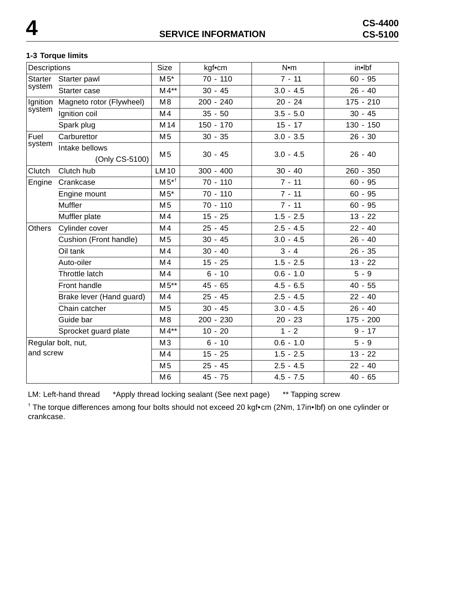# **1-3 Torque limits**

| Descriptions       |                                  | Size            | kgf•cm      | $N$ •m      | in•lbf      |
|--------------------|----------------------------------|-----------------|-------------|-------------|-------------|
| <b>Starter</b>     | Starter pawl                     | $M5^*$          | $70 - 110$  | $7 - 11$    | $60 - 95$   |
| system             | Starter case                     | $M4**$          | $30 - 45$   | $3.0 - 4.5$ | $26 - 40$   |
| Ignition           | Magneto rotor (Flywheel)         | M8              | $200 - 240$ | $20 - 24$   | $175 - 210$ |
| system             | Ignition coil                    | M <sub>4</sub>  | $35 - 50$   | $3.5 - 5.0$ | $30 - 45$   |
|                    | Spark plug                       | M <sub>14</sub> | $150 - 170$ | $15 - 17$   | $130 - 150$ |
| Fuel               | Carburettor                      | M <sub>5</sub>  | $30 - 35$   | $3.0 - 3.5$ | $26 - 30$   |
| system             | Intake bellows<br>(Only CS-5100) | M <sub>5</sub>  | $30 - 45$   | $3.0 - 4.5$ | $26 - 40$   |
| Clutch             | Clutch hub                       | <b>LM10</b>     | $300 - 400$ | $30 - 40$   | 260 - 350   |
| Engine             | Crankcase                        | $M5^{*+}$       | 70 - 110    | $7 - 11$    | $60 - 95$   |
|                    | Engine mount                     | $M5*$           | $70 - 110$  | $7 - 11$    | $60 - 95$   |
|                    | Muffler                          | M 5             | $70 - 110$  | $7 - 11$    | $60 - 95$   |
|                    | Muffler plate                    | M <sub>4</sub>  | $15 - 25$   | $1.5 - 2.5$ | $13 - 22$   |
| <b>Others</b>      | Cylinder cover                   | M4              | $25 - 45$   | $2.5 - 4.5$ | $22 - 40$   |
|                    | Cushion (Front handle)           | M <sub>5</sub>  | $30 - 45$   | $3.0 - 4.5$ | $26 - 40$   |
|                    | Oil tank                         | M4              | $30 - 40$   | $3 - 4$     | $26 - 35$   |
|                    | Auto-oiler                       | M4              | $15 - 25$   | $1.5 - 2.5$ | $13 - 22$   |
|                    | Throttle latch                   | M4              | $6 - 10$    | $0.6 - 1.0$ | $5 - 9$     |
|                    | Front handle                     | $M5**$          | $45 - 65$   | $4.5 - 6.5$ | $40 - 55$   |
|                    | Brake lever (Hand guard)         | M <sub>4</sub>  | $25 - 45$   | $2.5 - 4.5$ | $22 - 40$   |
|                    | Chain catcher                    | M 5             | $30 - 45$   | $3.0 - 4.5$ | $26 - 40$   |
|                    | Guide bar                        | M8              | 200 - 230   | $20 - 23$   | $175 - 200$ |
|                    | Sprocket guard plate             | $M4**$          | $10 - 20$   | $1 - 2$     | $9 - 17$    |
| Regular bolt, nut, |                                  | M3              | $6 - 10$    | $0.6 - 1.0$ | $5 - 9$     |
| and screw          |                                  | M4              | $15 - 25$   | $1.5 - 2.5$ | $13 - 22$   |
|                    |                                  | M <sub>5</sub>  | $25 - 45$   | $2.5 - 4.5$ | $22 - 40$   |
|                    |                                  | M <sub>6</sub>  | $45 - 75$   | $4.5 - 7.5$ | $40 - 65$   |

LM: Left-hand thread \*Apply thread locking sealant (See next page) \*\* Tapping screw

† The torque differences among four bolts should not exceed 20 kgf•cm (2Nm, 17in•lbf) on one cylinder or crankcase.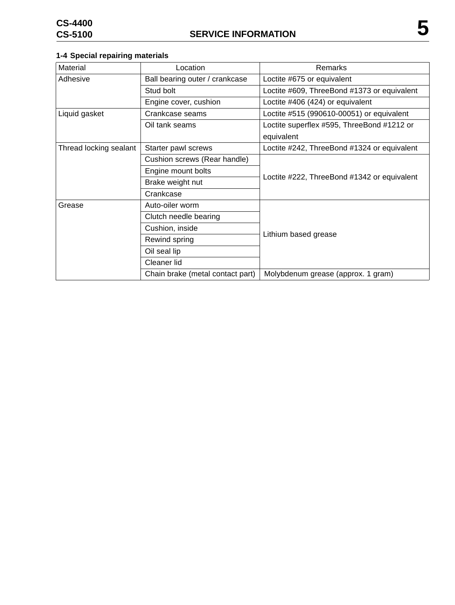# **1-4 Special repairing materials**

| Material               | Location                         | Remarks                                     |  |
|------------------------|----------------------------------|---------------------------------------------|--|
| Adhesive               | Ball bearing outer / crankcase   | Loctite #675 or equivalent                  |  |
|                        | Stud bolt                        | Loctite #609, ThreeBond #1373 or equivalent |  |
|                        | Engine cover, cushion            | Loctite #406 (424) or equivalent            |  |
| Liquid gasket          | Crankcase seams                  | Loctite #515 (990610-00051) or equivalent   |  |
|                        | Oil tank seams                   | Loctite superflex #595, ThreeBond #1212 or  |  |
|                        |                                  | equivalent                                  |  |
| Thread locking sealant | Starter pawl screws              | Loctite #242, ThreeBond #1324 or equivalent |  |
|                        | Cushion screws (Rear handle)     |                                             |  |
|                        | Engine mount bolts               | Loctite #222, ThreeBond #1342 or equivalent |  |
|                        | Brake weight nut                 |                                             |  |
|                        | Crankcase                        |                                             |  |
| Grease                 | Auto-oiler worm                  | Lithium based grease                        |  |
|                        | Clutch needle bearing            |                                             |  |
|                        | Cushion, inside                  |                                             |  |
|                        | Rewind spring                    |                                             |  |
|                        | Oil seal lip                     |                                             |  |
|                        | Cleaner lid                      |                                             |  |
|                        | Chain brake (metal contact part) | Molybdenum grease (approx. 1 gram)          |  |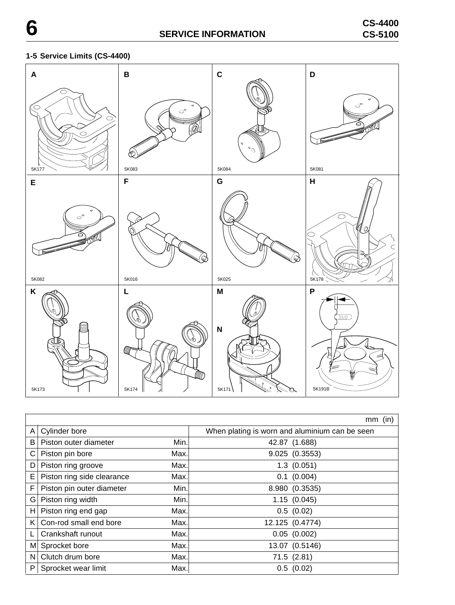# **1-5 Service Limits (CS-4400)**



|    |                            |      | (in)<br>mm                                     |
|----|----------------------------|------|------------------------------------------------|
| A  | Cylinder bore              |      | When plating is worn and aluminium can be seen |
| B  | Piston outer diameter      | Min. | 42.87 (1.688)                                  |
| С  | Piston pin bore            | Max. | 9.025 (0.3553)                                 |
| D  | Piston ring groove         | Max. | 1.3(0.051)                                     |
| E  | Piston ring side clearance | Max. | $0.1$ (0.004)                                  |
| F  | Piston pin outer diameter  | Min. | 8.980 (0.3535)                                 |
| G  | Piston ring width          | Min. | 1.15(0.045)                                    |
| H. | Piston ring end gap        | Max. | 0.5(0.02)                                      |
| K  | Con-rod small end bore     | Max. | 12.125 (0.4774)                                |
|    | Crankshaft runout          | Max. | $0.05$ $(0.002)$                               |
| M  | Sprocket bore              | Max. | 13.07 (0.5146)                                 |
| N  | Clutch drum bore           | Max. | 71.5(2.81)                                     |
| P  | Sprocket wear limit        | Max. | 0.5(0.02)                                      |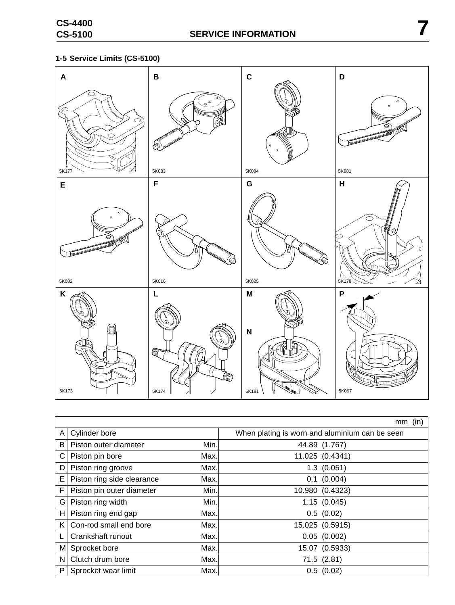

|    |                            |      | (in)<br>mm                                     |
|----|----------------------------|------|------------------------------------------------|
| A  | Cylinder bore              |      | When plating is worn and aluminium can be seen |
| B  | Piston outer diameter      | Min. | 44.89 (1.767)                                  |
| С  | Piston pin bore            | Max. | 11.025 (0.4341)                                |
| D  | Piston ring groove         | Max. | $1.3$ $(0.051)$                                |
| Е  | Piston ring side clearance | Max. | $0.1$ (0.004)                                  |
| F  | Piston pin outer diameter  | Min. | 10.980 (0.4323)                                |
| G  | Piston ring width          | Min. | 1.15(0.045)                                    |
| н  | Piston ring end gap        | Max. | 0.5(0.02)                                      |
| K. | Con-rod small end bore     | Max. | 15.025 (0.5915)                                |
|    | Crankshaft runout          | Max. | 0.05(0.002)                                    |
| Μ  | Sprocket bore              | Max. | 15.07 (0.5933)                                 |
| N  | Clutch drum bore           | Max. | 71.5(2.81)                                     |
| P  | Sprocket wear limit        | Max. | 0.5(0.02)                                      |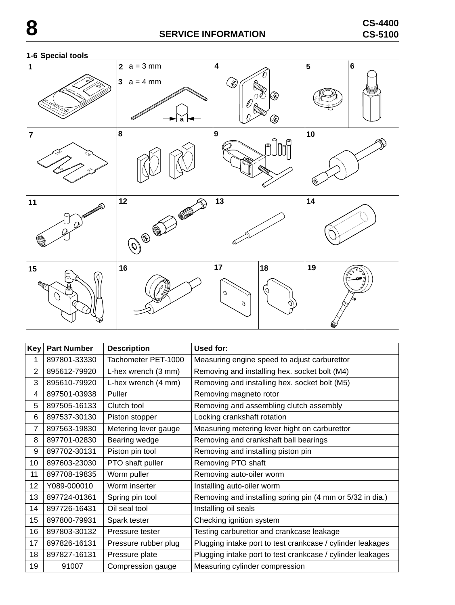

| Key | <b>Part Number</b> | <b>Description</b>   | Used for:                                                  |
|-----|--------------------|----------------------|------------------------------------------------------------|
| 1   | 897801-33330       | Tachometer PET-1000  | Measuring engine speed to adjust carburettor               |
| 2   | 895612-79920       | L-hex wrench (3 mm)  | Removing and installing hex. socket bolt (M4)              |
| 3   | 895610-79920       | L-hex wrench (4 mm)  | Removing and installing hex. socket bolt (M5)              |
| 4   | 897501-03938       | Puller               | Removing magneto rotor                                     |
| 5   | 897505-16133       | Clutch tool          | Removing and assembling clutch assembly                    |
| 6   | 897537-30130       | Piston stopper       | Locking crankshaft rotation                                |
| 7   | 897563-19830       | Metering lever gauge | Measuring metering lever hight on carburettor              |
| 8   | 897701-02830       | Bearing wedge        | Removing and crankshaft ball bearings                      |
| 9   | 897702-30131       | Piston pin tool      | Removing and installing piston pin                         |
| 10  | 897603-23030       | PTO shaft puller     | Removing PTO shaft                                         |
| 11  | 897708-19835       | Worm puller          | Removing auto-oiler worm                                   |
| 12  | Y089-000010        | Worm inserter        | Installing auto-oiler worm                                 |
| 13  | 897724-01361       | Spring pin tool      | Removing and installing spring pin (4 mm or 5/32 in dia.)  |
| 14  | 897726-16431       | Oil seal tool        | Installing oil seals                                       |
| 15  | 897800-79931       | Spark tester         | Checking ignition system                                   |
| 16  | 897803-30132       | Pressure tester      | Testing carburettor and crankcase leakage                  |
| 17  | 897826-16131       | Pressure rubber plug | Plugging intake port to test crankcase / cylinder leakages |
| 18  | 897827-16131       | Pressure plate       | Plugging intake port to test crankcase / cylinder leakages |
| 19  | 91007              | Compression gauge    | Measuring cylinder compression                             |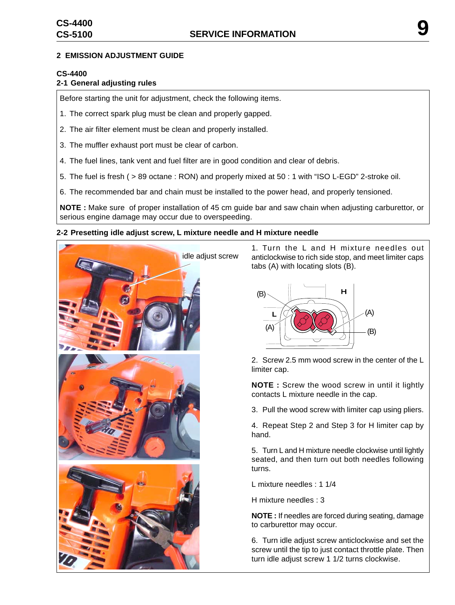#### **2 EMISSION ADJUSTMENT GUIDE**

# **CS-4400**

# **2-1 General adjusting rules**

Before starting the unit for adjustment, check the following items.

- 1. The correct spark plug must be clean and properly gapped.
- 2. The air filter element must be clean and properly installed.
- 3. The muffler exhaust port must be clear of carbon.
- 4. The fuel lines, tank vent and fuel filter are in good condition and clear of debris.
- 5. The fuel is fresh ( > 89 octane : RON) and properly mixed at 50 : 1 with "ISO L-EGD" 2-stroke oil.

6. The recommended bar and chain must be installed to the power head, and properly tensioned.

**NOTE :** Make sure of proper installation of 45 cm guide bar and saw chain when adjusting carburettor, or serious engine damage may occur due to overspeeding.

#### **2-2 Presetting idle adjust screw, L mixture needle and H mixture needle**



1. Turn the L and H mixture needles out anticlockwise to rich side stop, and meet limiter caps tabs (A) with locating slots (B).



2. Screw 2.5 mm wood screw in the center of the L limiter cap.

**NOTE :** Screw the wood screw in until it lightly contacts L mixture needle in the cap.

3. Pull the wood screw with limiter cap using pliers.

4. Repeat Step 2 and Step 3 for H limiter cap by hand.

5. Turn L and H mixture needle clockwise until lightly seated, and then turn out both needles following turns.

L mixture needles : 1 1/4

H mixture needles : 3

**NOTE :** If needles are forced during seating, damage to carburettor may occur.

6. Turn idle adjust screw anticlockwise and set the screw until the tip to just contact throttle plate. Then turn idle adjust screw 1 1/2 turns clockwise.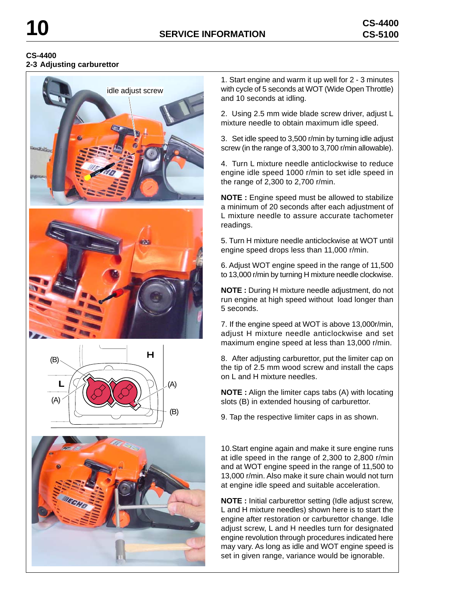#### **CS-4400 2-3 Adjusting carburettor**







1. Start engine and warm it up well for 2 - 3 minutes with cycle of 5 seconds at WOT (Wide Open Throttle) and 10 seconds at idling.

2. Using 2.5 mm wide blade screw driver, adjust L mixture needle to obtain maximum idle speed.

3. Set idle speed to 3,500 r/min by turning idle adjust screw (in the range of 3,300 to 3,700 r/min allowable).

4. Turn L mixture needle anticlockwise to reduce engine idle speed 1000 r/min to set idle speed in the range of 2,300 to 2,700 r/min.

**NOTE :** Engine speed must be allowed to stabilize a minimum of 20 seconds after each adjustment of L mixture needle to assure accurate tachometer readings.

5. Turn H mixture needle anticlockwise at WOT until engine speed drops less than 11,000 r/min.

6. Adjust WOT engine speed in the range of 11,500 to 13,000 r/min by turning H mixture needle clockwise.

**NOTE :** During H mixture needle adjustment, do not run engine at high speed without load longer than 5 seconds.

7. If the engine speed at WOT is above 13,000r/min, adjust H mixture needle anticlockwise and set maximum engine speed at less than 13,000 r/min.

8. After adjusting carburettor, put the limiter cap on the tip of 2.5 mm wood screw and install the caps on L and H mixture needles.

**NOTE :** Align the limiter caps tabs (A) with locating slots (B) in extended housing of carburettor.

9. Tap the respective limiter caps in as shown.

10.Start engine again and make it sure engine runs at idle speed in the range of 2,300 to 2,800 r/min and at WOT engine speed in the range of 11,500 to 13,000 r/min. Also make it sure chain would not turn at engine idle speed and suitable acceleration.

**NOTE :** Initial carburettor setting (Idle adjust screw, L and H mixture needles) shown here is to start the engine after restoration or carburettor change. Idle adjust screw, L and H needles turn for designated engine revolution through procedures indicated here may vary. As long as idle and WOT engine speed is set in given range, variance would be ignorable.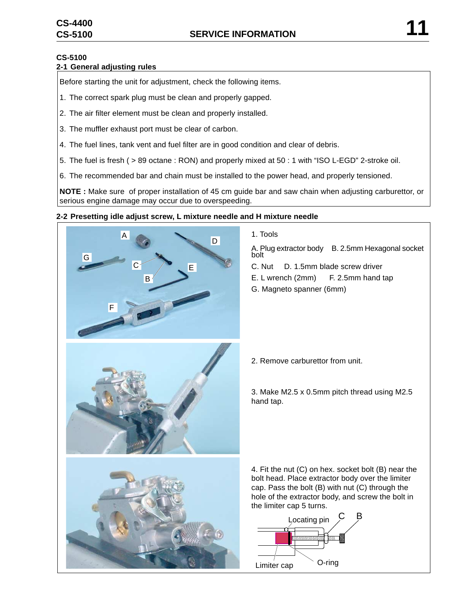# **CS-5100**

# **2-1 General adjusting rules**

Before starting the unit for adjustment, check the following items.

- 1. The correct spark plug must be clean and properly gapped.
- 2. The air filter element must be clean and properly installed.
- 3. The muffler exhaust port must be clear of carbon.
- 4. The fuel lines, tank vent and fuel filter are in good condition and clear of debris.
- 5. The fuel is fresh ( > 89 octane : RON) and properly mixed at 50 : 1 with "ISO L-EGD" 2-stroke oil.
- 6. The recommended bar and chain must be installed to the power head, and properly tensioned.

**NOTE :** Make sure of proper installation of 45 cm guide bar and saw chain when adjusting carburettor, or serious engine damage may occur due to overspeeding.

#### **2-2 Presetting idle adjust screw, L mixture needle and H mixture needle**



- 1. Tools
- A. Plug extractor body B. 2.5mm Hexagonal socket bolt
- C. Nut D. 1.5mm blade screw driver
- E. L wrench (2mm) F. 2.5mm hand tap
- G. Magneto spanner (6mm)

2. Remove carburettor from unit.

3. Make M2.5 x 0.5mm pitch thread using M2.5 hand tap.

4. Fit the nut (C) on hex. socket bolt (B) near the bolt head. Place extractor body over the limiter cap. Pass the bolt (B) with nut (C) through the hole of the extractor body, and screw the bolt in the limiter cap 5 turns.

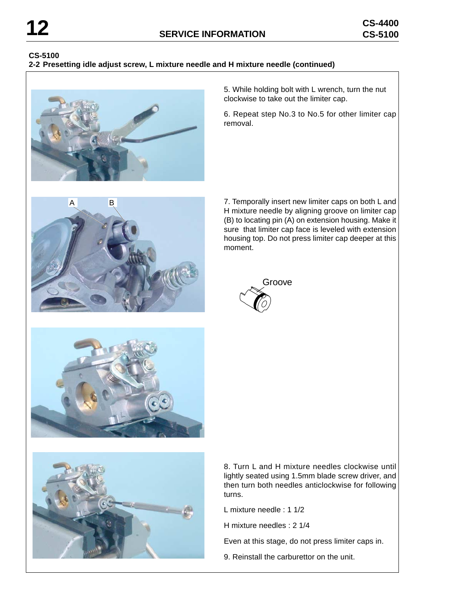# **CS-5100**

#### **2-2 Presetting idle adjust screw, L mixture needle and H mixture needle (continued)**



5. While holding bolt with L wrench, turn the nut clockwise to take out the limiter cap.

6. Repeat step No.3 to No.5 for other limiter cap removal.



7. Temporally insert new limiter caps on both L and H mixture needle by aligning groove on limiter cap (B) to locating pin (A) on extension housing. Make it sure that limiter cap face is leveled with extension housing top. Do not press limiter cap deeper at this moment.







8. Turn L and H mixture needles clockwise until lightly seated using 1.5mm blade screw driver, and then turn both needles anticlockwise for following turns.

L mixture needle : 1 1/2

H mixture needles : 2 1/4

Even at this stage, do not press limiter caps in.

9. Reinstall the carburettor on the unit.